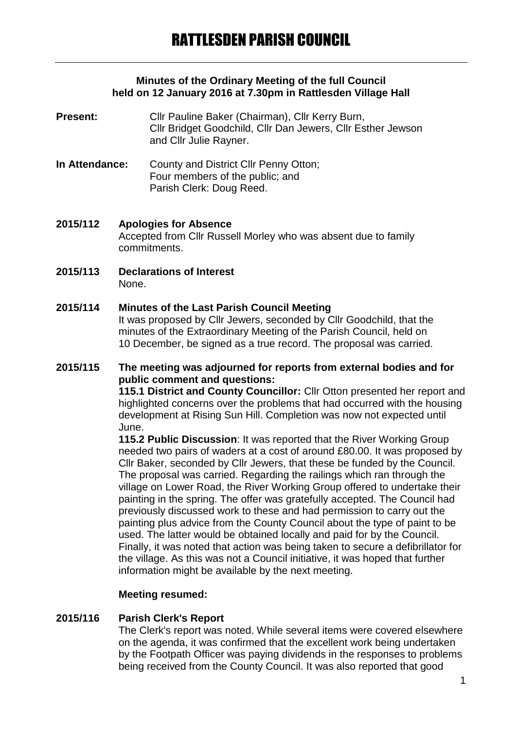#### **Minutes of the Ordinary Meeting of the full Council held on 12 January 2016 at 7.30pm in Rattlesden Village Hall**

**Present:** Cllr Pauline Baker (Chairman), Cllr Kerry Burn, Cllr Bridget Goodchild, Cllr Dan Jewers, Cllr Esther Jewson and Cllr Julie Rayner.

- **In Attendance:** County and District Cllr Penny Otton; Four members of the public; and Parish Clerk: Doug Reed.
- **2015/112 Apologies for Absence** Accepted from Cllr Russell Morley who was absent due to family commitments.
- **2015/113 Declarations of Interest** None.

## **2015/114 Minutes of the Last Parish Council Meeting**

It was proposed by Cllr Jewers, seconded by Cllr Goodchild, that the minutes of the Extraordinary Meeting of the Parish Council, held on 10 December, be signed as a true record. The proposal was carried.

#### **2015/115 The meeting was adjourned for reports from external bodies and for public comment and questions:**

**115.1 District and County Councillor:** Cllr Otton presented her report and highlighted concerns over the problems that had occurred with the housing development at Rising Sun Hill. Completion was now not expected until June.

**115.2 Public Discussion**: It was reported that the River Working Group needed two pairs of waders at a cost of around £80.00. It was proposed by Cllr Baker, seconded by Cllr Jewers, that these be funded by the Council. The proposal was carried. Regarding the railings which ran through the village on Lower Road, the River Working Group offered to undertake their painting in the spring. The offer was gratefully accepted. The Council had previously discussed work to these and had permission to carry out the painting plus advice from the County Council about the type of paint to be used. The latter would be obtained locally and paid for by the Council. Finally, it was noted that action was being taken to secure a defibrillator for the village. As this was not a Council initiative, it was hoped that further information might be available by the next meeting.

#### **Meeting resumed:**

### **2015/116 Parish Clerk's Report**

The Clerk's report was noted. While several items were covered elsewhere on the agenda, it was confirmed that the excellent work being undertaken by the Footpath Officer was paying dividends in the responses to problems being received from the County Council. It was also reported that good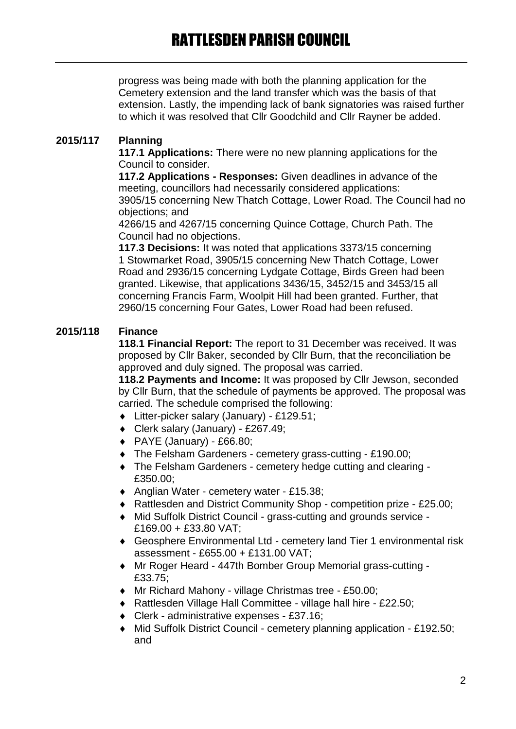progress was being made with both the planning application for the Cemetery extension and the land transfer which was the basis of that extension. Lastly, the impending lack of bank signatories was raised further to which it was resolved that Cllr Goodchild and Cllr Rayner be added.

# **2015/117 Planning**

**117.1 Applications:** There were no new planning applications for the Council to consider.

**117.2 Applications - Responses:** Given deadlines in advance of the meeting, councillors had necessarily considered applications: 3905/15 concerning New Thatch Cottage, Lower Road. The Council had no objections; and

4266/15 and 4267/15 concerning Quince Cottage, Church Path. The Council had no objections.

**117.3 Decisions:** It was noted that applications 3373/15 concerning 1 Stowmarket Road, 3905/15 concerning New Thatch Cottage, Lower Road and 2936/15 concerning Lydgate Cottage, Birds Green had been granted. Likewise, that applications 3436/15, 3452/15 and 3453/15 all concerning Francis Farm, Woolpit Hill had been granted. Further, that 2960/15 concerning Four Gates, Lower Road had been refused.

# **2015/118 Finance**

**118.1 Financial Report:** The report to 31 December was received. It was proposed by Cllr Baker, seconded by Cllr Burn, that the reconciliation be approved and duly signed. The proposal was carried.

**118.2 Payments and Income:** It was proposed by Cllr Jewson, seconded by Cllr Burn, that the schedule of payments be approved. The proposal was carried. The schedule comprised the following:

- Litter-picker salary (January) £129.51;
- Clerk salary (January) £267.49;
- $\blacklozenge$  PAYE (January) £66.80;
- The Felsham Gardeners cemetery grass-cutting £190.00;
- The Felsham Gardeners cemetery hedge cutting and clearing £350.00;
- Anglian Water cemetery water £15.38;
- ◆ Rattlesden and District Community Shop competition prize £25.00;
- Mid Suffolk District Council grass-cutting and grounds service £169.00 + £33.80 VAT;
- Geosphere Environmental Ltd cemetery land Tier 1 environmental risk assessment - £655.00 + £131.00 VAT;
- Mr Roger Heard 447th Bomber Group Memorial grass-cutting £33.75;
- Mr Richard Mahony village Christmas tree £50.00;
- ◆ Rattlesden Village Hall Committee village hall hire £22.50;
- Clerk administrative expenses £37.16;
- Mid Suffolk District Council cemetery planning application £192.50; and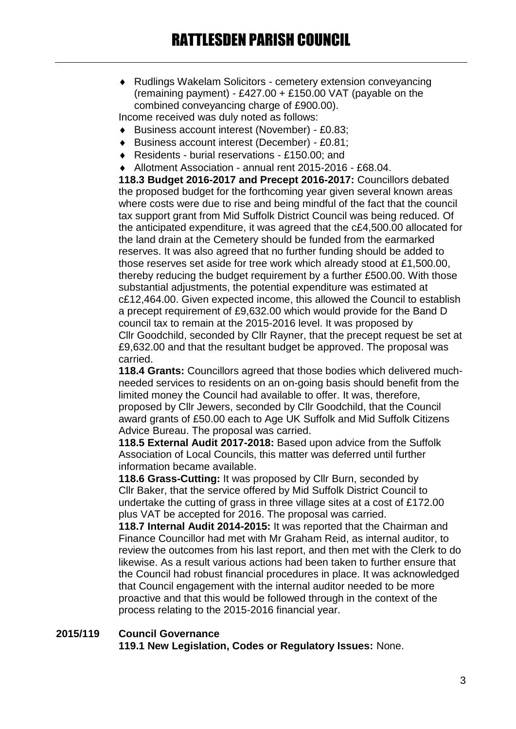Rudlings Wakelam Solicitors - cemetery extension conveyancing (remaining payment) -  $£427.00 + £150.00$  VAT (payable on the combined conveyancing charge of £900.00).

Income received was duly noted as follows:

- Business account interest (November) £0.83;
- Business account interest (December) £0.81;
- ◆ Residents burial reservations £150.00; and
- Allotment Association annual rent 2015-2016 £68.04.

**118.3 Budget 2016-2017 and Precept 2016-2017:** Councillors debated the proposed budget for the forthcoming year given several known areas where costs were due to rise and being mindful of the fact that the council tax support grant from Mid Suffolk District Council was being reduced. Of the anticipated expenditure, it was agreed that the c£4,500.00 allocated for the land drain at the Cemetery should be funded from the earmarked reserves. It was also agreed that no further funding should be added to those reserves set aside for tree work which already stood at £1,500.00, thereby reducing the budget requirement by a further £500.00. With those substantial adjustments, the potential expenditure was estimated at c£12,464.00. Given expected income, this allowed the Council to establish a precept requirement of £9,632.00 which would provide for the Band D council tax to remain at the 2015-2016 level. It was proposed by Cllr Goodchild, seconded by Cllr Rayner, that the precept request be set at £9,632.00 and that the resultant budget be approved. The proposal was carried.

**118.4 Grants:** Councillors agreed that those bodies which delivered muchneeded services to residents on an on-going basis should benefit from the limited money the Council had available to offer. It was, therefore, proposed by Cllr Jewers, seconded by Cllr Goodchild, that the Council award grants of £50.00 each to Age UK Suffolk and Mid Suffolk Citizens Advice Bureau. The proposal was carried.

**118.5 External Audit 2017-2018:** Based upon advice from the Suffolk Association of Local Councils, this matter was deferred until further information became available.

**118.6 Grass-Cutting:** It was proposed by Cllr Burn, seconded by Cllr Baker, that the service offered by Mid Suffolk District Council to undertake the cutting of grass in three village sites at a cost of £172.00 plus VAT be accepted for 2016. The proposal was carried.

**118.7 Internal Audit 2014-2015:** It was reported that the Chairman and Finance Councillor had met with Mr Graham Reid, as internal auditor, to review the outcomes from his last report, and then met with the Clerk to do likewise. As a result various actions had been taken to further ensure that the Council had robust financial procedures in place. It was acknowledged that Council engagement with the internal auditor needed to be more proactive and that this would be followed through in the context of the process relating to the 2015-2016 financial year.

```
2015/119 Council Governance
119.1 New Legislation, Codes or Regulatory Issues: None.
```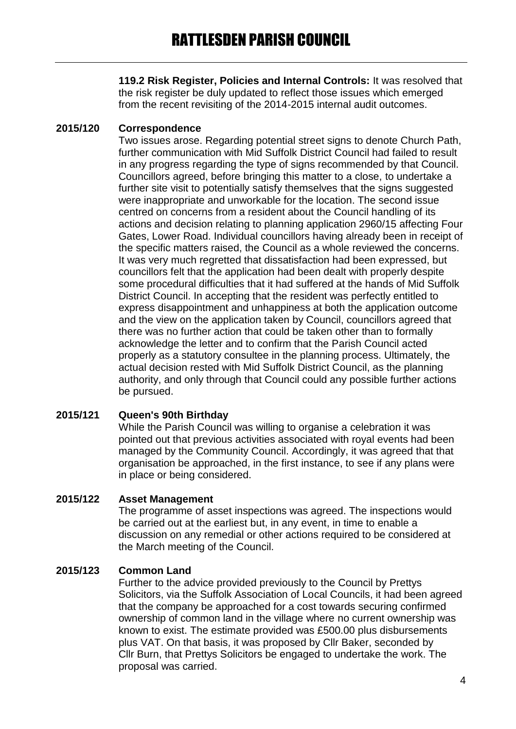**119.2 Risk Register, Policies and Internal Controls:** It was resolved that the risk register be duly updated to reflect those issues which emerged from the recent revisiting of the 2014-2015 internal audit outcomes.

# **2015/120 Correspondence**

Two issues arose. Regarding potential street signs to denote Church Path, further communication with Mid Suffolk District Council had failed to result in any progress regarding the type of signs recommended by that Council. Councillors agreed, before bringing this matter to a close, to undertake a further site visit to potentially satisfy themselves that the signs suggested were inappropriate and unworkable for the location. The second issue centred on concerns from a resident about the Council handling of its actions and decision relating to planning application 2960/15 affecting Four Gates, Lower Road. Individual councillors having already been in receipt of the specific matters raised, the Council as a whole reviewed the concerns. It was very much regretted that dissatisfaction had been expressed, but councillors felt that the application had been dealt with properly despite some procedural difficulties that it had suffered at the hands of Mid Suffolk District Council. In accepting that the resident was perfectly entitled to express disappointment and unhappiness at both the application outcome and the view on the application taken by Council, councillors agreed that there was no further action that could be taken other than to formally acknowledge the letter and to confirm that the Parish Council acted properly as a statutory consultee in the planning process. Ultimately, the actual decision rested with Mid Suffolk District Council, as the planning authority, and only through that Council could any possible further actions be pursued.

### **2015/121 Queen's 90th Birthday**

While the Parish Council was willing to organise a celebration it was pointed out that previous activities associated with royal events had been managed by the Community Council. Accordingly, it was agreed that that organisation be approached, in the first instance, to see if any plans were in place or being considered.

### **2015/122 Asset Management**

The programme of asset inspections was agreed. The inspections would be carried out at the earliest but, in any event, in time to enable a discussion on any remedial or other actions required to be considered at the March meeting of the Council.

# **2015/123 Common Land**

Further to the advice provided previously to the Council by Prettys Solicitors, via the Suffolk Association of Local Councils, it had been agreed that the company be approached for a cost towards securing confirmed ownership of common land in the village where no current ownership was known to exist. The estimate provided was £500.00 plus disbursements plus VAT. On that basis, it was proposed by Cllr Baker, seconded by Cllr Burn, that Prettys Solicitors be engaged to undertake the work. The proposal was carried.